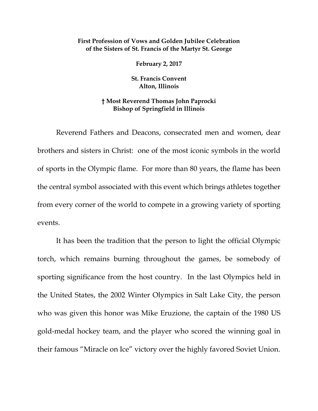## **First Profession of Vows and Golden Jubilee Celebration of the Sisters of St. Francis of the Martyr St. George**

**February 2, 2017**

**St. Francis Convent Alton, Illinois**

## **† Most Reverend Thomas John Paprocki Bishop of Springfield in Illinois**

Reverend Fathers and Deacons, consecrated men and women, dear brothers and sisters in Christ: one of the most iconic symbols in the world of sports in the Olympic flame. For more than 80 years, the flame has been the central symbol associated with this event which brings athletes together from every corner of the world to compete in a growing variety of sporting events.

It has been the tradition that the person to light the official Olympic torch, which remains burning throughout the games, be somebody of sporting significance from the host country. In the last Olympics held in the United States, the 2002 Winter Olympics in Salt Lake City, the person who was given this honor was Mike Eruzione, the captain of the 1980 US gold-medal hockey team, and the player who scored the winning goal in their famous "Miracle on Ice" victory over the highly favored Soviet Union.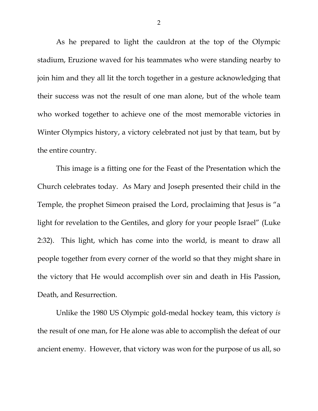As he prepared to light the cauldron at the top of the Olympic stadium, Eruzione waved for his teammates who were standing nearby to join him and they all lit the torch together in a gesture acknowledging that their success was not the result of one man alone, but of the whole team who worked together to achieve one of the most memorable victories in Winter Olympics history, a victory celebrated not just by that team, but by the entire country.

This image is a fitting one for the Feast of the Presentation which the Church celebrates today. As Mary and Joseph presented their child in the Temple, the prophet Simeon praised the Lord, proclaiming that Jesus is "a light for revelation to the Gentiles, and glory for your people Israel" (Luke 2:32). This light, which has come into the world, is meant to draw all people together from every corner of the world so that they might share in the victory that He would accomplish over sin and death in His Passion, Death, and Resurrection.

Unlike the 1980 US Olympic gold-medal hockey team, this victory *is* the result of one man, for He alone was able to accomplish the defeat of our ancient enemy. However, that victory was won for the purpose of us all, so

2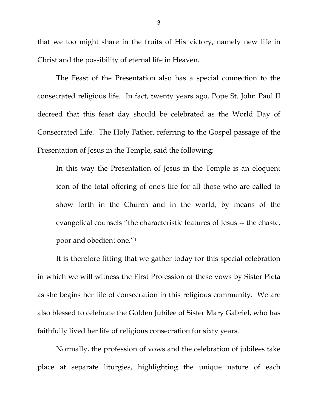that we too might share in the fruits of His victory, namely new life in Christ and the possibility of eternal life in Heaven.

The Feast of the Presentation also has a special connection to the consecrated religious life. In fact, twenty years ago, Pope St. John Paul II decreed that this feast day should be celebrated as the World Day of Consecrated Life. The Holy Father, referring to the Gospel passage of the Presentation of Jesus in the Temple, said the following:

In this way the Presentation of Jesus in the Temple is an eloquent icon of the total offering of one's life for all those who are called to show forth in the Church and in the world, by means of the evangelical counsels "the characteristic features of Jesus -- the chaste, poor and obedient one."[1](#page-7-0)

It is therefore fitting that we gather today for this special celebration in which we will witness the First Profession of these vows by Sister Pieta as she begins her life of consecration in this religious community. We are also blessed to celebrate the Golden Jubilee of Sister Mary Gabriel, who has faithfully lived her life of religious consecration for sixty years.

Normally, the profession of vows and the celebration of jubilees take place at separate liturgies, highlighting the unique nature of each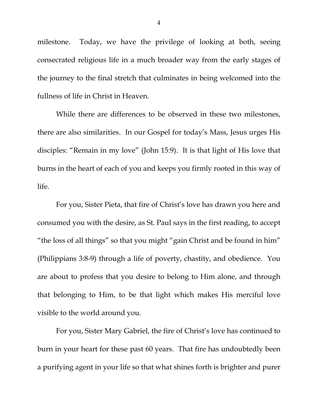milestone. Today, we have the privilege of looking at both, seeing consecrated religious life in a much broader way from the early stages of the journey to the final stretch that culminates in being welcomed into the fullness of life in Christ in Heaven.

While there are differences to be observed in these two milestones, there are also similarities. In our Gospel for today's Mass, Jesus urges His disciples: "Remain in my love" (John 15:9). It is that light of His love that burns in the heart of each of you and keeps you firmly rooted in this way of life.

For you, Sister Pieta, that fire of Christ's love has drawn you here and consumed you with the desire, as St. Paul says in the first reading, to accept "the loss of all things" so that you might "gain Christ and be found in him" (Philippians 3:8-9) through a life of poverty, chastity, and obedience. You are about to profess that you desire to belong to Him alone, and through that belonging to Him, to be that light which makes His merciful love visible to the world around you.

For you, Sister Mary Gabriel, the fire of Christ's love has continued to burn in your heart for these past 60 years. That fire has undoubtedly been a purifying agent in your life so that what shines forth is brighter and purer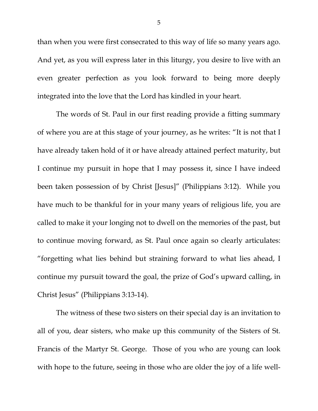than when you were first consecrated to this way of life so many years ago. And yet, as you will express later in this liturgy, you desire to live with an even greater perfection as you look forward to being more deeply integrated into the love that the Lord has kindled in your heart.

The words of St. Paul in our first reading provide a fitting summary of where you are at this stage of your journey, as he writes: "It is not that I have already taken hold of it or have already attained perfect maturity, but I continue my pursuit in hope that I may possess it, since I have indeed been taken possession of by Christ [Jesus]" (Philippians 3:12). While you have much to be thankful for in your many years of religious life, you are called to make it your longing not to dwell on the memories of the past, but to continue moving forward, as St. Paul once again so clearly articulates: "forgetting what lies behind but straining forward to what lies ahead, I continue my pursuit toward the goal, the prize of God's upward calling, in Christ Jesus" (Philippians 3:13-14).

The witness of these two sisters on their special day is an invitation to all of you, dear sisters, who make up this community of the Sisters of St. Francis of the Martyr St. George. Those of you who are young can look with hope to the future, seeing in those who are older the joy of a life well-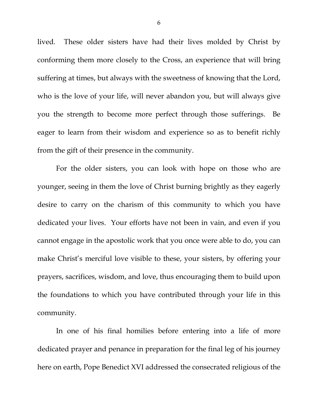lived. These older sisters have had their lives molded by Christ by conforming them more closely to the Cross, an experience that will bring suffering at times, but always with the sweetness of knowing that the Lord, who is the love of your life, will never abandon you, but will always give you the strength to become more perfect through those sufferings. Be eager to learn from their wisdom and experience so as to benefit richly from the gift of their presence in the community.

For the older sisters, you can look with hope on those who are younger, seeing in them the love of Christ burning brightly as they eagerly desire to carry on the charism of this community to which you have dedicated your lives. Your efforts have not been in vain, and even if you cannot engage in the apostolic work that you once were able to do, you can make Christ's merciful love visible to these, your sisters, by offering your prayers, sacrifices, wisdom, and love, thus encouraging them to build upon the foundations to which you have contributed through your life in this community.

In one of his final homilies before entering into a life of more dedicated prayer and penance in preparation for the final leg of his journey here on earth, Pope Benedict XVI addressed the consecrated religious of the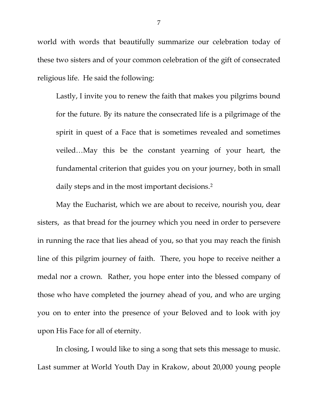world with words that beautifully summarize our celebration today of these two sisters and of your common celebration of the gift of consecrated religious life. He said the following:

Lastly, I invite you to renew the faith that makes you pilgrims bound for the future. By its nature the consecrated life is a pilgrimage of the spirit in quest of a Face that is sometimes revealed and sometimes veiled…May this be the constant yearning of your heart, the fundamental criterion that guides you on your journey, both in small daily steps and in the most important decisions.<sup>[2](#page-7-1)</sup>

May the Eucharist, which we are about to receive, nourish you, dear sisters, as that bread for the journey which you need in order to persevere in running the race that lies ahead of you, so that you may reach the finish line of this pilgrim journey of faith. There, you hope to receive neither a medal nor a crown. Rather, you hope enter into the blessed company of those who have completed the journey ahead of you, and who are urging you on to enter into the presence of your Beloved and to look with joy upon His Face for all of eternity.

In closing, I would like to sing a song that sets this message to music. Last summer at World Youth Day in Krakow, about 20,000 young people